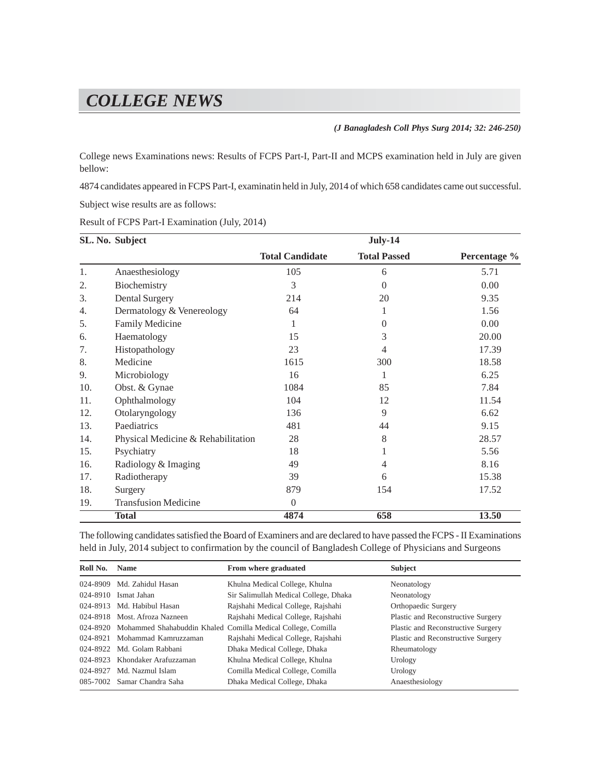## *COLLEGE NEWS*

*(J Banagladesh Coll Phys Surg 2014; 32: 246-250)*

College news Examinations news: Results of FCPS Part-I, Part-II and MCPS examination held in July are given bellow:

4874 candidates appeared in FCPS Part-I, examinatin held in July, 2014 of which 658 candidates came out successful.

Subject wise results are as follows:

Result of FCPS Part-I Examination (July, 2014)

|     | SL. No. Subject                    | July-14                |                     |              |
|-----|------------------------------------|------------------------|---------------------|--------------|
|     |                                    | <b>Total Candidate</b> | <b>Total Passed</b> | Percentage % |
| 1.  | Anaesthesiology                    | 105                    | 6                   | 5.71         |
| 2.  | Biochemistry                       | 3                      | $\Omega$            | 0.00         |
| 3.  | <b>Dental Surgery</b>              | 214                    | 20                  | 9.35         |
| 4.  | Dermatology & Venereology          | 64                     | 1                   | 1.56         |
| 5.  | <b>Family Medicine</b>             | 1                      | $\theta$            | 0.00         |
| 6.  | Haematology                        | 15                     | 3                   | 20.00        |
| 7.  | Histopathology                     | 23                     | 4                   | 17.39        |
| 8.  | Medicine                           | 1615                   | 300                 | 18.58        |
| 9.  | Microbiology                       | 16                     |                     | 6.25         |
| 10. | Obst. & Gynae                      | 1084                   | 85                  | 7.84         |
| 11. | Ophthalmology                      | 104                    | 12                  | 11.54        |
| 12. | Otolaryngology                     | 136                    | 9                   | 6.62         |
| 13. | Paediatrics                        | 481                    | 44                  | 9.15         |
| 14. | Physical Medicine & Rehabilitation | 28                     | 8                   | 28.57        |
| 15. | Psychiatry                         | 18                     |                     | 5.56         |
| 16. | Radiology & Imaging                | 49                     | 4                   | 8.16         |
| 17. | Radiotherapy                       | 39                     | 6                   | 15.38        |
| 18. | Surgery                            | 879                    | 154                 | 17.52        |
| 19. | <b>Transfusion Medicine</b>        | $\overline{0}$         |                     |              |
|     | <b>Total</b>                       | 4874                   | 658                 | <b>13.50</b> |

The following candidates satisfied the Board of Examiners and are declared to have passed the FCPS - II Examinations held in July, 2014 subject to confirmation by the council of Bangladesh College of Physicians and Surgeons

| Roll No. Name |                                | From where graduated                                                  | <b>Subject</b>                     |
|---------------|--------------------------------|-----------------------------------------------------------------------|------------------------------------|
|               | 024-8909 Md. Zahidul Hasan     | Khulna Medical College, Khulna                                        | Neonatology                        |
|               | 024-8910 Ismat Jahan           | Sir Salimullah Medical College, Dhaka                                 | Neonatology                        |
|               | 024-8913 Md. Habibul Hasan     | Rajshahi Medical College, Rajshahi                                    | Orthopaedic Surgery                |
|               | 024-8918 Most, Afroza Nazneen  | Rajshahi Medical College, Rajshahi                                    | Plastic and Reconstructive Surgery |
|               |                                | 024-8920 Mohammed Shahabuddin Khaled Comilla Medical College, Comilla | Plastic and Reconstructive Surgery |
|               | 024-8921 Mohammad Kamruzzaman  | Rajshahi Medical College, Rajshahi                                    | Plastic and Reconstructive Surgery |
|               | 024-8922 Md. Golam Rabbani     | Dhaka Medical College, Dhaka                                          | Rheumatology                       |
|               | 024-8923 Khondaker Arafuzzaman | Khulna Medical College, Khulna                                        | Urology                            |
|               | 024-8927 Md. Nazmul Islam      | Comilla Medical College, Comilla                                      | Urology                            |
|               | 085-7002 Samar Chandra Saha    | Dhaka Medical College, Dhaka                                          | Anaesthesiology                    |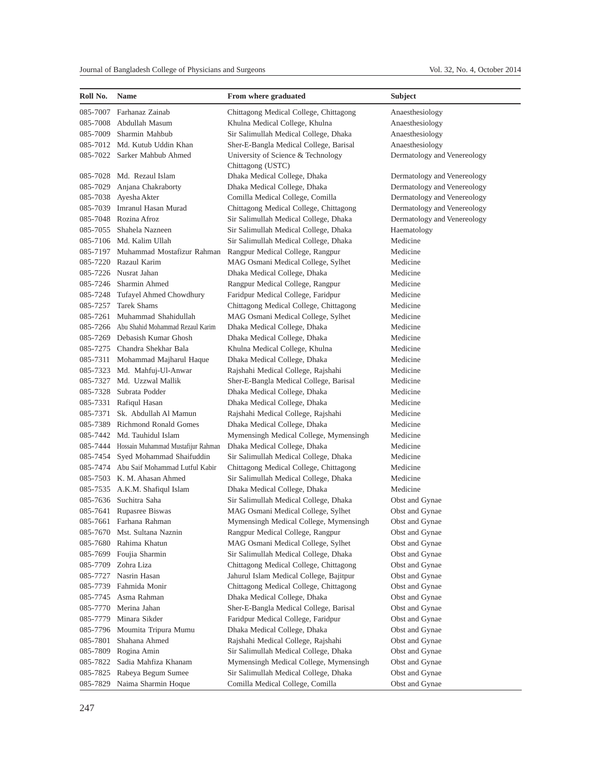| Roll No. | <b>Name</b>                                 | From where graduated                                    | <b>Subject</b>              |
|----------|---------------------------------------------|---------------------------------------------------------|-----------------------------|
| 085-7007 | Farhanaz Zainab                             | Chittagong Medical College, Chittagong                  | Anaesthesiology             |
| 085-7008 | Abdullah Masum                              | Khulna Medical College, Khulna                          | Anaesthesiology             |
| 085-7009 | Sharmin Mahbub                              | Sir Salimullah Medical College, Dhaka                   | Anaesthesiology             |
|          | 085-7012 Md. Kutub Uddin Khan               | Sher-E-Bangla Medical College, Barisal                  | Anaesthesiology             |
|          | 085-7022 Sarker Mahbub Ahmed                | University of Science & Technology<br>Chittagong (USTC) | Dermatology and Venereology |
|          | 085-7028 Md. Rezaul Islam                   | Dhaka Medical College, Dhaka                            | Dermatology and Venereology |
| 085-7029 | Anjana Chakraborty                          | Dhaka Medical College, Dhaka                            | Dermatology and Venereology |
|          | 085-7038 Ayesha Akter                       | Comilla Medical College, Comilla                        | Dermatology and Venereology |
| 085-7039 | Imranul Hasan Murad                         | Chittagong Medical College, Chittagong                  | Dermatology and Venereology |
|          | 085-7048 Rozina Afroz                       | Sir Salimullah Medical College, Dhaka                   | Dermatology and Venereology |
|          | 085-7055 Shahela Nazneen                    | Sir Salimullah Medical College, Dhaka                   | Haematology                 |
|          | 085-7106 Md. Kalim Ullah                    | Sir Salimullah Medical College, Dhaka                   | Medicine                    |
|          | 085-7197 Muhammad Mostafizur Rahman         | Rangpur Medical College, Rangpur                        | Medicine                    |
|          | 085-7220 Razaul Karim                       | MAG Osmani Medical College, Sylhet                      | Medicine                    |
|          | 085-7226 Nusrat Jahan                       | Dhaka Medical College, Dhaka                            | Medicine                    |
|          | 085-7246 Sharmin Ahmed                      | Rangpur Medical College, Rangpur                        | Medicine                    |
|          | 085-7248 Tufayel Ahmed Chowdhury            | Faridpur Medical College, Faridpur                      | Medicine                    |
| 085-7257 | <b>Tarek Shams</b>                          | Chittagong Medical College, Chittagong                  | Medicine                    |
| 085-7261 | Muhammad Shahidullah                        | MAG Osmani Medical College, Sylhet                      | Medicine                    |
| 085-7266 | Abu Shahid Mohammad Rezaul Karim            | Dhaka Medical College, Dhaka                            | Medicine                    |
|          | 085-7269 Debasish Kumar Ghosh               | Dhaka Medical College, Dhaka                            | Medicine                    |
|          | 085-7275 Chandra Shekhar Bala               | Khulna Medical College, Khulna                          | Medicine                    |
|          | 085-7311 Mohammad Majharul Haque            | Dhaka Medical College, Dhaka                            | Medicine                    |
|          | 085-7323 Md. Mahfuj-Ul-Anwar                | Rajshahi Medical College, Rajshahi                      | Medicine                    |
|          | 085-7327 Md. Uzzwal Mallik                  | Sher-E-Bangla Medical College, Barisal                  | Medicine                    |
| 085-7328 | Subrata Podder                              | Dhaka Medical College, Dhaka                            | Medicine                    |
| 085-7331 | Rafiqul Hasan                               | Dhaka Medical College, Dhaka                            | Medicine                    |
|          | 085-7371 Sk. Abdullah Al Mamun              | Rajshahi Medical College, Rajshahi                      | Medicine                    |
| 085-7389 | <b>Richmond Ronald Gomes</b>                | Dhaka Medical College, Dhaka                            | Medicine                    |
| 085-7442 | Md. Tauhidul Islam                          | Mymensingh Medical College, Mymensingh                  | Medicine                    |
|          | 085-7444 Hossain Muhammad Mustafijur Rahman | Dhaka Medical College, Dhaka                            | Medicine                    |
| 085-7454 | Syed Mohammad Shaifuddin                    | Sir Salimullah Medical College, Dhaka                   | Medicine                    |
|          | 085-7474 Abu Saif Mohammad Lutful Kabir     | Chittagong Medical College, Chittagong                  | Medicine                    |
|          | 085-7503 K. M. Ahasan Ahmed                 | Sir Salimullah Medical College, Dhaka                   | Medicine                    |
|          | 085-7535 A.K.M. Shafiqul Islam              | Dhaka Medical College, Dhaka                            | Medicine                    |
| 085-7636 | Suchitra Saha                               | Sir Salimullah Medical College, Dhaka                   | Obst and Gynae              |
| 085-7641 | Rupasree Biswas                             | MAG Osmani Medical College, Sylhet                      | Obst and Gynae              |
|          | 085-7661 Farhana Rahman                     | Mymensingh Medical College, Mymensingh                  | Obst and Gynae              |
| 085-7670 | Mst. Sultana Naznin                         | Rangpur Medical College, Rangpur                        | Obst and Gynae              |
| 085-7680 | Rahima Khatun                               | MAG Osmani Medical College, Sylhet                      | Obst and Gynae              |
| 085-7699 | Foujia Sharmin                              | Sir Salimullah Medical College, Dhaka                   | Obst and Gynae              |
| 085-7709 | Zohra Liza                                  | Chittagong Medical College, Chittagong                  | Obst and Gynae              |
| 085-7727 | Nasrin Hasan                                | Jahurul Islam Medical College, Bajitpur                 | Obst and Gynae              |
| 085-7739 | Fahmida Monir                               | Chittagong Medical College, Chittagong                  | Obst and Gynae              |
| 085-7745 | Asma Rahman                                 | Dhaka Medical College, Dhaka                            | Obst and Gynae              |
| 085-7770 | Merina Jahan                                | Sher-E-Bangla Medical College, Barisal                  | Obst and Gynae              |
| 085-7779 | Minara Sikder                               | Faridpur Medical College, Faridpur                      | Obst and Gynae              |
| 085-7796 | Moumita Tripura Mumu                        | Dhaka Medical College, Dhaka                            | Obst and Gynae              |
| 085-7801 | Shahana Ahmed                               | Rajshahi Medical College, Rajshahi                      | Obst and Gynae              |
| 085-7809 | Rogina Amin                                 | Sir Salimullah Medical College, Dhaka                   | Obst and Gynae              |
| 085-7822 | Sadia Mahfiza Khanam                        | Mymensingh Medical College, Mymensingh                  | Obst and Gynae              |
| 085-7825 | Rabeya Begum Sumee                          | Sir Salimullah Medical College, Dhaka                   | Obst and Gynae              |
| 085-7829 | Naima Sharmin Hoque                         | Comilla Medical College, Comilla                        | Obst and Gynae              |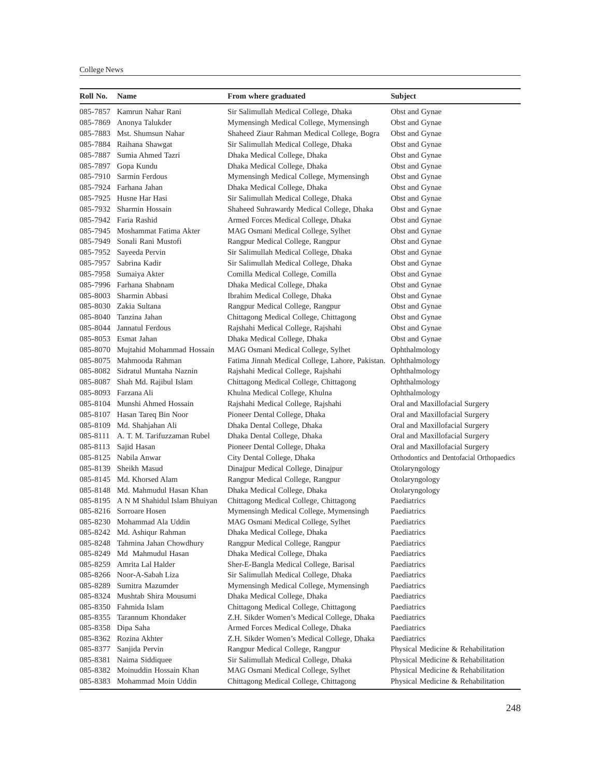| Roll No. | <b>Name</b>                           | From where graduated                             | Subject                                   |
|----------|---------------------------------------|--------------------------------------------------|-------------------------------------------|
|          | 085-7857 Kamrun Nahar Rani            | Sir Salimullah Medical College, Dhaka            | Obst and Gynae                            |
| 085-7869 | Anonya Talukder                       | Mymensingh Medical College, Mymensingh           | Obst and Gynae                            |
|          | 085-7883 Mst. Shumsun Nahar           | Shaheed Ziaur Rahman Medical College, Bogra      | Obst and Gynae                            |
|          | 085-7884 Raihana Shawgat              | Sir Salimullah Medical College, Dhaka            | Obst and Gynae                            |
|          | 085-7887 Sumia Ahmed Tazri            | Dhaka Medical College, Dhaka                     | Obst and Gynae                            |
|          | 085-7897 Gopa Kundu                   | Dhaka Medical College, Dhaka                     | Obst and Gynae                            |
| 085-7910 | Sarmin Ferdous                        | Mymensingh Medical College, Mymensingh           | Obst and Gynae                            |
|          | 085-7924 Farhana Jahan                | Dhaka Medical College, Dhaka                     | Obst and Gynae                            |
|          | 085-7925 Husne Har Hasi               | Sir Salimullah Medical College, Dhaka            | Obst and Gynae                            |
|          | 085-7932 Sharmin Hossain              | Shaheed Suhrawardy Medical College, Dhaka        | Obst and Gynae                            |
|          | 085-7942 Faria Rashid                 | Armed Forces Medical College, Dhaka              | Obst and Gynae                            |
|          | 085-7945 Moshammat Fatima Akter       | MAG Osmani Medical College, Sylhet               | Obst and Gynae                            |
|          | 085-7949 Sonali Rani Mustofi          | Rangpur Medical College, Rangpur                 | Obst and Gynae                            |
| 085-7952 | Sayeeda Pervin                        | Sir Salimullah Medical College, Dhaka            | Obst and Gynae                            |
| 085-7957 | Sabrina Kadir                         | Sir Salimullah Medical College, Dhaka            | Obst and Gynae                            |
|          | 085-7958 Sumaiya Akter                | Comilla Medical College, Comilla                 | Obst and Gynae                            |
|          | 085-7996 Farhana Shabnam              | Dhaka Medical College, Dhaka                     | Obst and Gynae                            |
| 085-8003 | Sharmin Abbasi                        | Ibrahim Medical College, Dhaka                   | Obst and Gynae                            |
|          | 085-8030 Zakia Sultana                | Rangpur Medical College, Rangpur                 | Obst and Gynae                            |
|          | 085-8040 Tanzina Jahan                | Chittagong Medical College, Chittagong           | Obst and Gynae                            |
|          | 085-8044 Jannatul Ferdous             | Rajshahi Medical College, Rajshahi               |                                           |
|          | 085-8053 Esmat Jahan                  |                                                  | Obst and Gynae                            |
|          |                                       | Dhaka Medical College, Dhaka                     | Obst and Gynae                            |
|          | 085-8070 Mujtahid Mohammad Hossain    | MAG Osmani Medical College, Sylhet               | Ophthalmology                             |
|          | 085-8075 Mahmooda Rahman              | Fatima Jinnah Medical College, Lahore, Pakistan. | Ophthalmology                             |
|          | 085-8082 Sidratul Muntaha Naznin      | Rajshahi Medical College, Rajshahi               | Ophthalmology                             |
| 085-8087 | Shah Md. Rajibul Islam                | Chittagong Medical College, Chittagong           | Ophthalmology                             |
|          | 085-8093 Farzana Ali                  | Khulna Medical College, Khulna                   | Ophthalmology                             |
|          | 085-8104 Munshi Ahmed Hossain         | Rajshahi Medical College, Rajshahi               | Oral and Maxillofacial Surgery            |
|          | 085-8107 Hasan Tareq Bin Noor         | Pioneer Dental College, Dhaka                    | Oral and Maxillofacial Surgery            |
|          | 085-8109 Md. Shahjahan Ali            | Dhaka Dental College, Dhaka                      | Oral and Maxillofacial Surgery            |
| 085-8111 | A. T. M. Tarifuzzaman Rubel           | Dhaka Dental College, Dhaka                      | Oral and Maxillofacial Surgery            |
| 085-8113 | Sajid Hasan                           | Pioneer Dental College, Dhaka                    | Oral and Maxillofacial Surgery            |
|          | 085-8125 Nabila Anwar                 | City Dental College, Dhaka                       | Orthodontics and Dentofacial Orthopaedics |
|          | 085-8139 Sheikh Masud                 | Dinajpur Medical College, Dinajpur               | Otolaryngology                            |
|          | 085-8145 Md. Khorsed Alam             | Rangpur Medical College, Rangpur                 | Otolaryngology                            |
|          | 085-8148 Md. Mahmudul Hasan Khan      | Dhaka Medical College, Dhaka                     | Otolaryngology                            |
|          | 085-8195 A N M Shahidul Islam Bhuiyan | Chittagong Medical College, Chittagong           | Paediatrics                               |
|          | 085-8216 Sorroare Hosen               | Mymensingh Medical College, Mymensingh           | Paediatrics                               |
|          | 085-8230 Mohammad Ala Uddin           | MAG Osmani Medical College, Sylhet               | Paediatrics                               |
| 085-8242 | Md. Ashiqur Rahman                    | Dhaka Medical College, Dhaka                     | Paediatrics                               |
| 085-8248 | Tahmina Jahan Chowdhury               | Rangpur Medical College, Rangpur                 | Paediatrics                               |
| 085-8249 | Md Mahmudul Hasan                     | Dhaka Medical College, Dhaka                     | Paediatrics                               |
| 085-8259 | Amrita Lal Halder                     | Sher-E-Bangla Medical College, Barisal           | Paediatrics                               |
| 085-8266 | Noor-A-Sabah Liza                     | Sir Salimullah Medical College, Dhaka            | Paediatrics                               |
| 085-8289 | Sumitra Mazumder                      | Mymensingh Medical College, Mymensingh           | Paediatrics                               |
| 085-8324 | Mushtab Shira Mousumi                 | Dhaka Medical College, Dhaka                     | Paediatrics                               |
| 085-8350 | Fahmida Islam                         | Chittagong Medical College, Chittagong           | Paediatrics                               |
| 085-8355 | Tarannum Khondaker                    | Z.H. Sikder Women's Medical College, Dhaka       | Paediatrics                               |
| 085-8358 | Dipa Saha                             | Armed Forces Medical College, Dhaka              | Paediatrics                               |
| 085-8362 | Rozina Akhter                         | Z.H. Sikder Women's Medical College, Dhaka       | Paediatrics                               |
| 085-8377 | Sanjida Pervin                        | Rangpur Medical College, Rangpur                 | Physical Medicine & Rehabilitation        |
| 085-8381 | Naima Siddiquee                       | Sir Salimullah Medical College, Dhaka            | Physical Medicine & Rehabilitation        |
| 085-8382 | Moinuddin Hossain Khan                | MAG Osmani Medical College, Sylhet               | Physical Medicine & Rehabilitation        |
| 085-8383 | Mohammad Moin Uddin                   | Chittagong Medical College, Chittagong           | Physical Medicine & Rehabilitation        |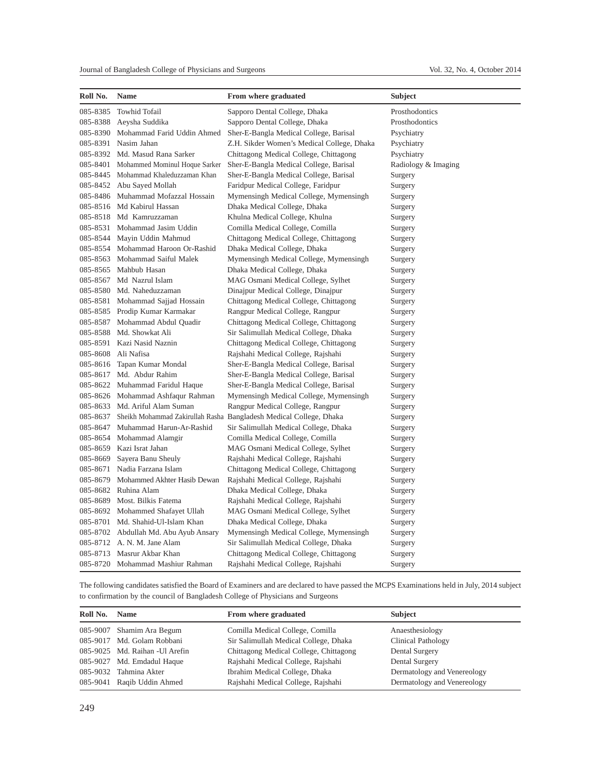| Roll No. | Name                                  | From where graduated                                               | Subject             |
|----------|---------------------------------------|--------------------------------------------------------------------|---------------------|
| 085-8385 | <b>Towhid Tofail</b>                  | Sapporo Dental College, Dhaka                                      | Prosthodontics      |
| 085-8388 | Aeysha Suddika                        | Sapporo Dental College, Dhaka                                      | Prosthodontics      |
| 085-8390 | Mohammad Farid Uddin Ahmed            | Sher-E-Bangla Medical College, Barisal                             | Psychiatry          |
| 085-8391 | Nasim Jahan                           | Z.H. Sikder Women's Medical College, Dhaka                         | Psychiatry          |
| 085-8392 | Md. Masud Rana Sarker                 | Chittagong Medical College, Chittagong                             | Psychiatry          |
| 085-8401 | Mohammed Mominul Hoque Sarker         | Sher-E-Bangla Medical College, Barisal                             | Radiology & Imaging |
| 085-8445 | Mohammad Khaleduzzaman Khan           | Sher-E-Bangla Medical College, Barisal                             | Surgery             |
| 085-8452 | Abu Sayed Mollah                      | Faridpur Medical College, Faridpur                                 | Surgery             |
| 085-8486 | Muhammad Mofazzal Hossain             | Mymensingh Medical College, Mymensingh                             | Surgery             |
| 085-8516 | Md Kabirul Hassan                     | Dhaka Medical College, Dhaka                                       | Surgery             |
| 085-8518 | Md Kamruzzaman                        | Khulna Medical College, Khulna                                     | Surgery             |
| 085-8531 | Mohammad Jasim Uddin                  | Comilla Medical College, Comilla                                   | Surgery             |
| 085-8544 | Mayin Uddin Mahmud                    | Chittagong Medical College, Chittagong                             | Surgery             |
| 085-8554 | Mohammad Haroon Or-Rashid             | Dhaka Medical College, Dhaka                                       | Surgery             |
| 085-8563 | Mohammad Saiful Malek                 | Mymensingh Medical College, Mymensingh                             | Surgery             |
| 085-8565 | Mahbub Hasan                          | Dhaka Medical College, Dhaka                                       | Surgery             |
| 085-8567 | Md Nazrul Islam                       | MAG Osmani Medical College, Sylhet                                 | Surgery             |
| 085-8580 | Md. Naheduzzaman                      | Dinajpur Medical College, Dinajpur                                 | Surgery             |
| 085-8581 | Mohammad Sajjad Hossain               | Chittagong Medical College, Chittagong                             | Surgery             |
| 085-8585 | Prodip Kumar Karmakar                 | Rangpur Medical College, Rangpur                                   | Surgery             |
| 085-8587 | Mohammad Abdul Quadir                 | Chittagong Medical College, Chittagong                             | Surgery             |
| 085-8588 | Md. Showkat Ali                       | Sir Salimullah Medical College, Dhaka                              | Surgery             |
| 085-8591 | Kazi Nasid Naznin                     | Chittagong Medical College, Chittagong                             | Surgery             |
| 085-8608 | Ali Nafisa                            | Rajshahi Medical College, Rajshahi                                 | Surgery             |
| 085-8616 | Tapan Kumar Mondal                    | Sher-E-Bangla Medical College, Barisal                             | Surgery             |
| 085-8617 | Md. Abdur Rahim                       | Sher-E-Bangla Medical College, Barisal                             | Surgery             |
| 085-8622 | Muhammad Faridul Haque                | Sher-E-Bangla Medical College, Barisal                             | Surgery             |
| 085-8626 | Mohammad Ashfaqur Rahman              | Mymensingh Medical College, Mymensingh                             | Surgery             |
| 085-8633 | Md. Ariful Alam Suman                 | Rangpur Medical College, Rangpur                                   | Surgery             |
| 085-8637 |                                       | Sheikh Mohammad Zakirullah Rasha Bangladesh Medical College, Dhaka | Surgery             |
| 085-8647 | Muhammad Harun-Ar-Rashid              | Sir Salimullah Medical College, Dhaka                              | Surgery             |
| 085-8654 | Mohammad Alamgir                      | Comilla Medical College, Comilla                                   | Surgery             |
| 085-8659 | Kazi Israt Jahan                      | MAG Osmani Medical College, Sylhet                                 | Surgery             |
| 085-8669 | Sayera Banu Sheuly                    | Rajshahi Medical College, Rajshahi                                 | Surgery             |
| 085-8671 | Nadia Farzana Islam                   | Chittagong Medical College, Chittagong                             | Surgery             |
| 085-8679 | Mohammed Akhter Hasib Dewan           | Rajshahi Medical College, Rajshahi                                 | Surgery             |
| 085-8682 | Ruhina Alam                           | Dhaka Medical College, Dhaka                                       | Surgery             |
| 085-8689 | Most. Bilkis Fatema                   | Rajshahi Medical College, Rajshahi                                 | Surgery             |
| 085-8692 | Mohammed Shafayet Ullah               | MAG Osmani Medical College, Sylhet                                 | Surgery             |
| 085-8701 | Md. Shahid-Ul-Islam Khan              | Dhaka Medical College, Dhaka                                       | Surgery             |
|          | 085-8702 Abdullah Md. Abu Ayub Ansary | Mymensingh Medical College, Mymensingh                             | Surgery             |
|          | 085-8712 A. N. M. Jane Alam           | Sir Salimullah Medical College, Dhaka                              | Surgery             |
| 085-8713 | Masrur Akbar Khan                     | Chittagong Medical College, Chittagong                             | Surgery             |
|          | 085-8720 Mohammad Mashiur Rahman      | Rajshahi Medical College, Rajshahi                                 | Surgery             |

The following candidates satisfied the Board of Examiners and are declared to have passed the MCPS Examinations held in July, 2014 subject to confirmation by the council of Bangladesh College of Physicians and Surgeons

| Roll No. | <b>Name</b>                     | From where graduated                   | <b>Subject</b>              |
|----------|---------------------------------|----------------------------------------|-----------------------------|
|          | 085-9007 Shamim Ara Begum       | Comilla Medical College, Comilla       | Anaesthesiology             |
|          | 085-9017 Md. Golam Robbani      | Sir Salimullah Medical College, Dhaka  | <b>Clinical Pathology</b>   |
|          | 085-9025 Md. Raihan - Ul Arefin | Chittagong Medical College, Chittagong | Dental Surgery              |
|          | 085-9027 Md. Emdadul Haque      | Rajshahi Medical College, Rajshahi     | Dental Surgery              |
|          | 085-9032 Tahmina Akter          | Ibrahim Medical College, Dhaka         | Dermatology and Venereology |
|          | 085-9041 Raqib Uddin Ahmed      | Rajshahi Medical College, Rajshahi     | Dermatology and Venereology |